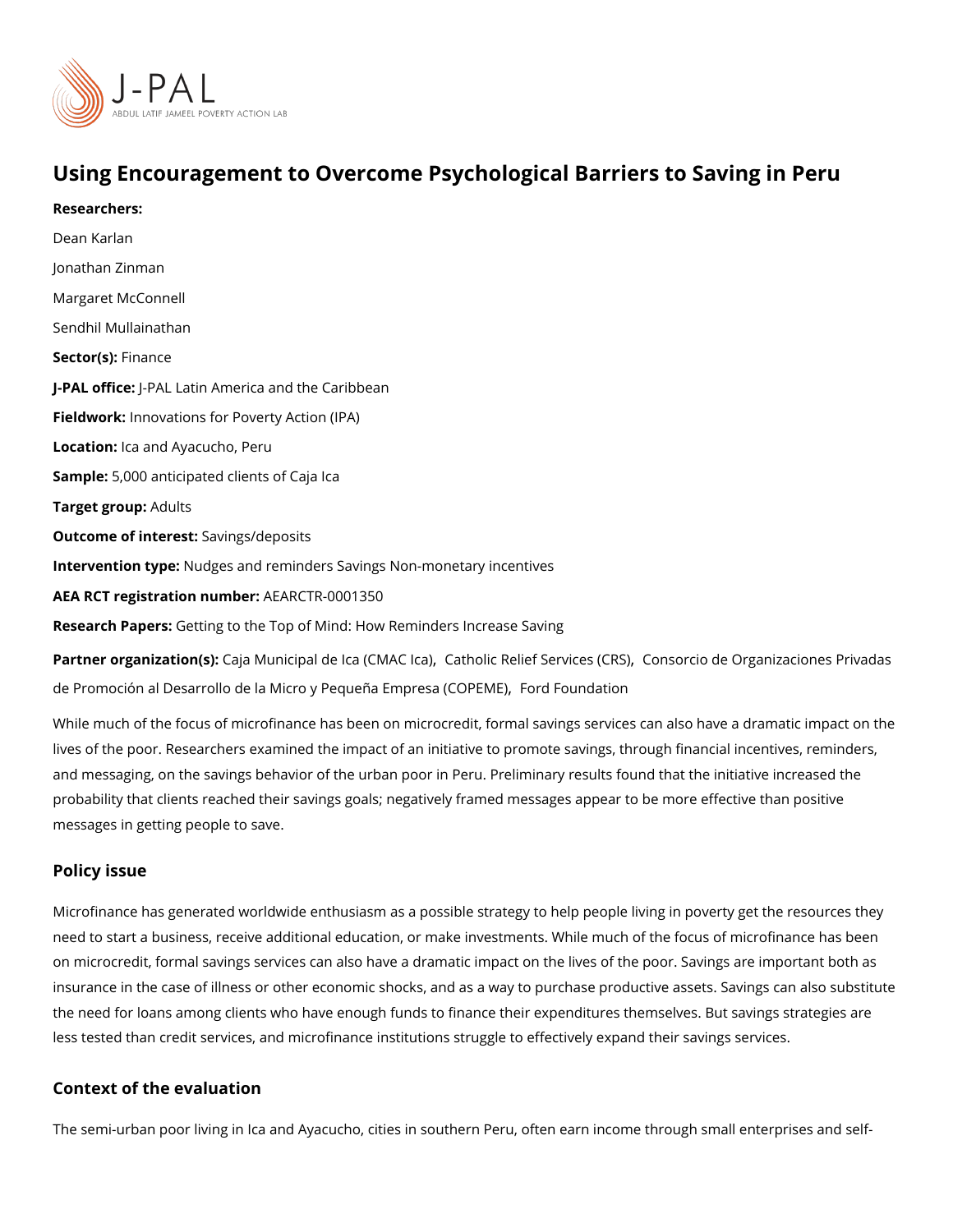## Using Encouragement to Overcome Psychological Barriers to

Researchers: [Dean Ka](https://www.povertyactionlab.org/person/karlan)rlan [Jonathan Z](https://www.povertyactionlab.org/person/zinman)inman [Margaret McC](https://www.povertyactionlab.org/person/mcconnell)onnell [Sendhil Mulla](https://www.povertyactionlab.org/person/mullainathan)inathan Sector(Fsi)nance J-PAL of ticPeAL Latin America and the Caribbean Fieldworkhnovations for Poverty Action (IPA) Locatiohca and Ayacucho, Peru Sample: 000 anticipated clients of Caja Ica Target gro $A$ dults Outcome of inteSastngs/deposits Intervention t Maneiges and reminders Savings Non-monetary incentives AEA RCT registration ArEuAnRbGeTR-0001350 Research Paßetsing to the Top of Mind: How Reminders Increase Saving Partner organizatCionnias)Municipal de Ica[,](https://www.povertyactionlab.org/partners/catholic-relief-services-crs) CCaMhAo CidcRadelief ServCicoensso(CcRoS) de Organizaciones P

[de Promoción al Desarrollo de la Micro y Peq](https://www.povertyactionlab.org/partners/consorcio-de-organizaciones-privadas-de-promocion-al-desarrollo-de-la-micro-y-pequena)ueFñoadE Finopurendation OPEME)

While much of the focus of microfinance has been on microcredit, formal savings services lives of the poor. Researchers examined the impact of an initiative to promote savings, th and messaging, on the savings behavior of the urban poor in Peru. Preliminary results fou probability that clients reached their savings goals; negatively framed messages appear t messages in getting people to save.

### Policy issue

Microfinance has generated worldwide enthusiasm as a possible strategy to help people li need to start a business, receive additional education, or make investments. While much on microcredit, formal savings services can also have a dramatic impact on the lives of th insurance in the case of illness or other economic shocks, and as a way to purchase prod the need for loans among clients who have enough funds to finance their expenditures the less tested than credit services, and microfinance institutions struggle to effectively expandies.

### Context of the evaluation

The semi-urban poor living in Ica and Ayacucho, cities in southern Peru, often earn incom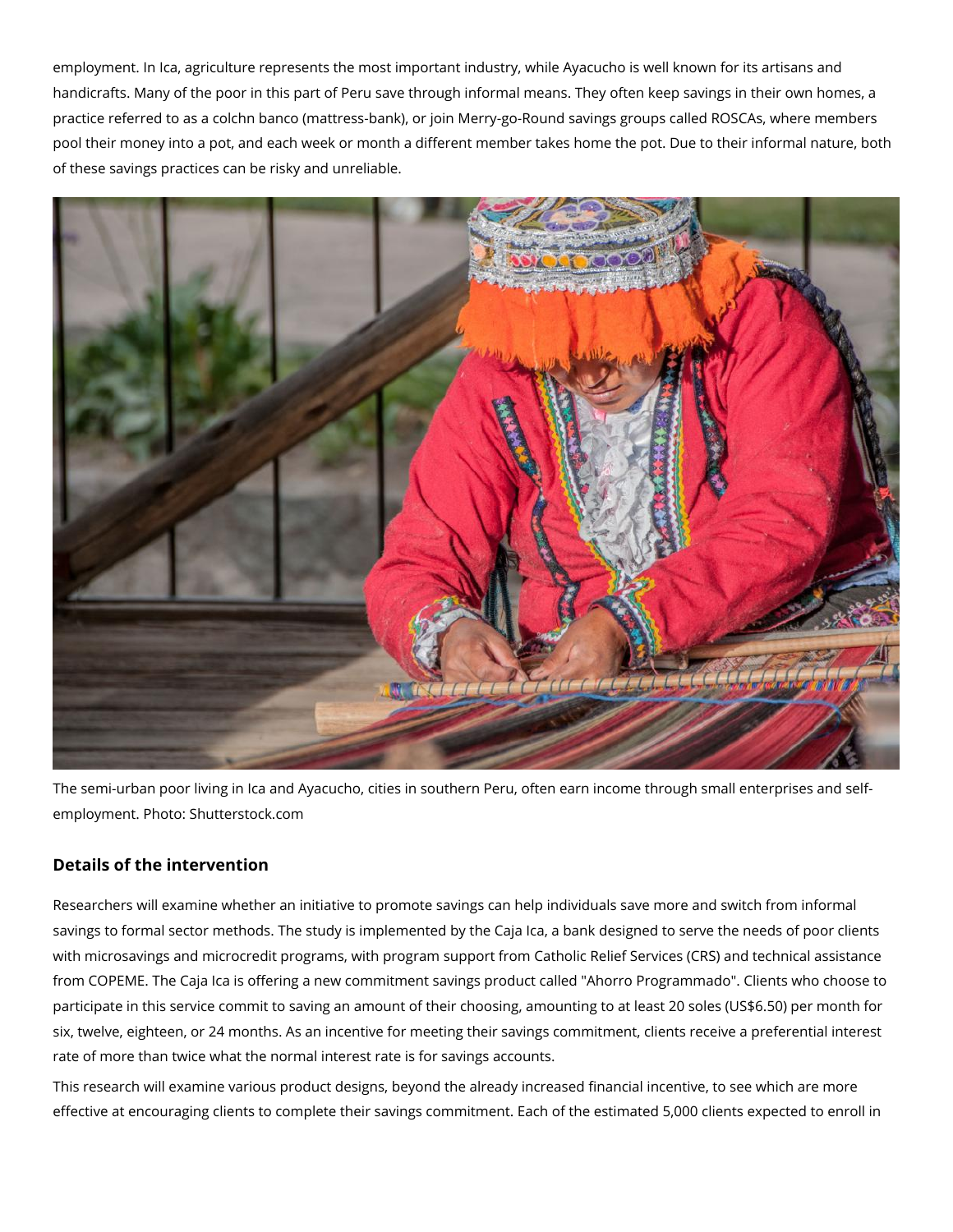employment. In Ica, agriculture represents the most important industry, while Ayacucho is well known for its artisans and handicrafts. Many of the poor in this part of Peru save through informal means. They often keep savings in their own homes, a practice referred to as a colchn banco (mattress-bank), or join Merry-go-Round savings groups called ROSCAs, where members pool their money into a pot, and each week or month a different member takes home the pot. Due to their informal nature, both of these savings practices can be risky and unreliable.



The semi-urban poor living in Ica and Ayacucho, cities in southern Peru, often earn income through small enterprises and selfemployment. Photo: Shutterstock.com

# **Details of the intervention**

Researchers will examine whether an initiative to promote savings can help individuals save more and switch from informal savings to formal sector methods. The study is implemented by the Caja Ica, a bank designed to serve the needs of poor clients with microsavings and microcredit programs, with program support from Catholic Relief Services (CRS) and technical assistance from COPEME. The Caja Ica is offering a new commitment savings product called "Ahorro Programmado". Clients who choose to participate in this service commit to saving an amount of their choosing, amounting to at least 20 soles (US\$6.50) per month for six, twelve, eighteen, or 24 months. As an incentive for meeting their savings commitment, clients receive a preferential interest rate of more than twice what the normal interest rate is for savings accounts.

This research will examine various product designs, beyond the already increased financial incentive, to see which are more effective at encouraging clients to complete their savings commitment. Each of the estimated 5,000 clients expected to enroll in